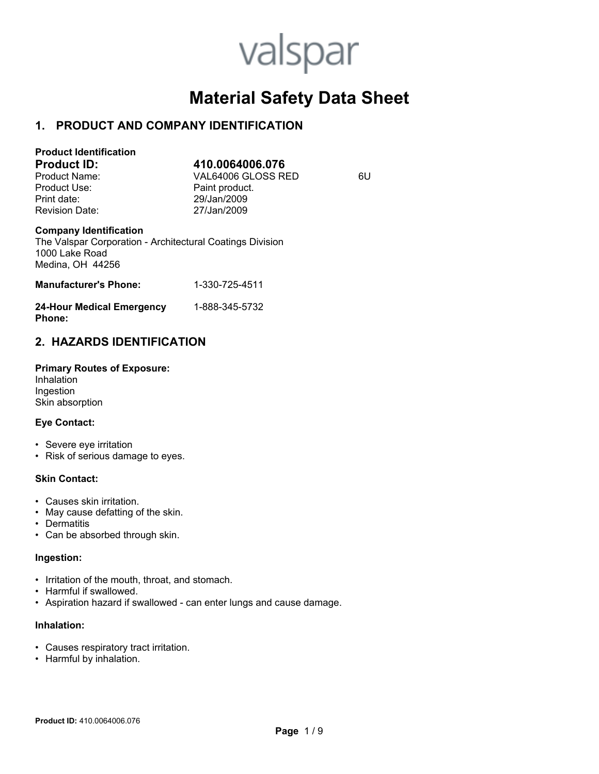# valspar

# **Material Safety Data Sheet**

## **1. PRODUCT AND COMPANY IDENTIFICATION**

| <b>Product Identification</b> |                    |    |
|-------------------------------|--------------------|----|
| <b>Product ID:</b>            | 410.0064006.076    |    |
| Product Name:                 | VAL64006 GLOSS RED | 6U |
| Product Use:                  | Paint product.     |    |
| Print date:                   | 29/Jan/2009        |    |
| <b>Revision Date:</b>         | 27/Jan/2009        |    |

#### **Company Identification**

The Valspar Corporation - Architectural Coatings Division 1000 Lake Road Medina, OH 44256

| <b>Manufacturer's Phone:</b> | 1-330-725-4511 |
|------------------------------|----------------|
| 24-Hour Medical Emergency    | 1-888-345-5732 |

## **Phone:**

## **2. HAZARDS IDENTIFICATION**

**Primary Routes of Exposure:**  Inhalation Ingestion Skin absorption

#### **Eye Contact:**

- Severe eye irritation
- Risk of serious damage to eyes.

#### **Skin Contact:**

- Causes skin irritation.
- May cause defatting of the skin.
- Dermatitis
- Can be absorbed through skin.

#### **Ingestion:**

- Irritation of the mouth, throat, and stomach.
- Harmful if swallowed.
- Aspiration hazard if swallowed can enter lungs and cause damage.

#### **Inhalation:**

- Causes respiratory tract irritation.
- Harmful by inhalation.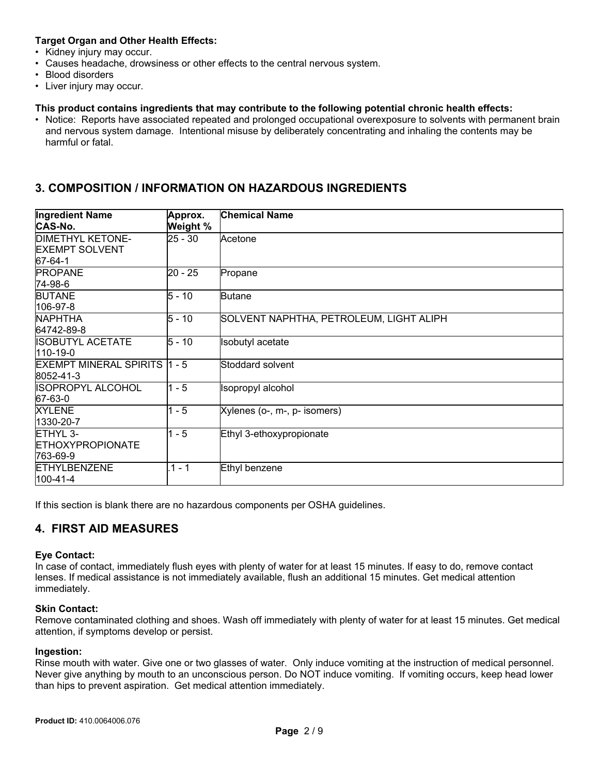#### **Target Organ and Other Health Effects:**

- Kidney injury may occur.
- Causes headache, drowsiness or other effects to the central nervous system.
- Blood disorders
- Liver injury may occur.

#### **This product contains ingredients that may contribute to the following potential chronic health effects:**

• Notice: Reports have associated repeated and prolonged occupational overexposure to solvents with permanent brain and nervous system damage. Intentional misuse by deliberately concentrating and inhaling the contents may be harmful or fatal.

## **3. COMPOSITION / INFORMATION ON HAZARDOUS INGREDIENTS**

| <b>Ingredient Name</b><br><b>CAS-No.</b>                    | Approx.<br>Weight % | <b>Chemical Name</b>                    |
|-------------------------------------------------------------|---------------------|-----------------------------------------|
| <b>DIMETHYL KETONE-</b><br><b>EXEMPT SOLVENT</b><br>67-64-1 | 25 - 30             | Acetone                                 |
| <b>PROPANE</b><br>74-98-6                                   | $20 - 25$           | Propane                                 |
| <b>BUTANE</b><br>106-97-8                                   | $5 - 10$            | <b>Butane</b>                           |
| <b>NAPHTHA</b><br>64742-89-8                                | $5 - 10$            | SOLVENT NAPHTHA, PETROLEUM, LIGHT ALIPH |
| <b>ISOBUTYL ACETATE</b><br>110-19-0                         | $5 - 10$            | <b>Isobutyl</b> acetate                 |
| EXEMPT MINERAL SPIRITS 1 - 5<br>8052-41-3                   |                     | Stoddard solvent                        |
| ISOPROPYL ALCOHOL<br>67-63-0                                | $1 - 5$             | Isopropyl alcohol                       |
| <b>XYLENE</b><br>1330-20-7                                  | $1 - 5$             | Xylenes (o-, m-, p- isomers)            |
| ETHYL 3-<br><b>ETHOXYPROPIONATE</b><br>763-69-9             | $1 - 5$             | Ethyl 3-ethoxypropionate                |
| <b>ETHYLBENZENE</b><br>100-41-4                             | $.1 - 1$            | Ethyl benzene                           |

If this section is blank there are no hazardous components per OSHA guidelines.

## **4. FIRST AID MEASURES**

#### **Eye Contact:**

In case of contact, immediately flush eyes with plenty of water for at least 15 minutes. If easy to do, remove contact lenses. If medical assistance is not immediately available, flush an additional 15 minutes. Get medical attention immediately.

#### **Skin Contact:**

Remove contaminated clothing and shoes. Wash off immediately with plenty of water for at least 15 minutes. Get medical attention, if symptoms develop or persist.

#### **Ingestion:**

Rinse mouth with water. Give one or two glasses of water. Only induce vomiting at the instruction of medical personnel. Never give anything by mouth to an unconscious person. Do NOT induce vomiting. If vomiting occurs, keep head lower than hips to prevent aspiration. Get medical attention immediately.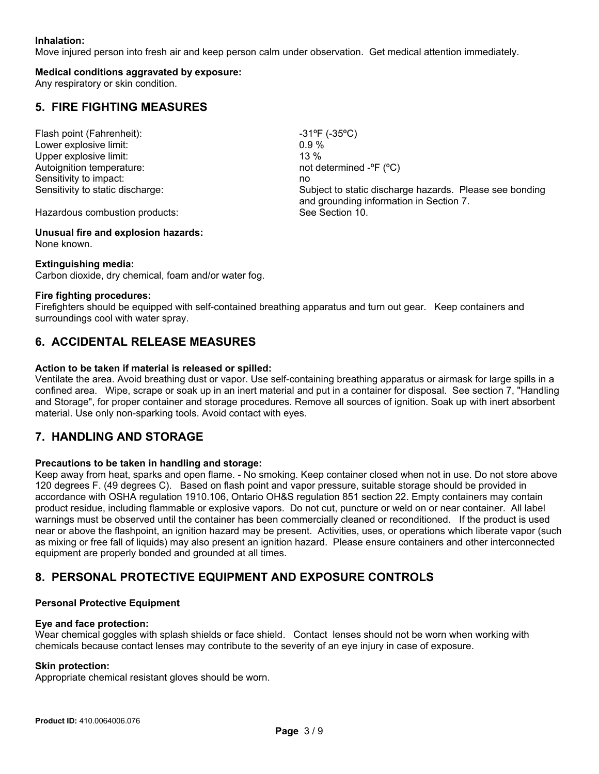#### **Inhalation:**

Move injured person into fresh air and keep person calm under observation. Get medical attention immediately.

#### **Medical conditions aggravated by exposure:**

Any respiratory or skin condition.

## **5. FIRE FIGHTING MEASURES**

Flash point (Fahrenheit):  $-31^{\circ}F (-35^{\circ}C)$ Lower explosive limit:  $0.9\%$ Upper explosive limit: 13 % Autoignition temperature:  $\blacksquare$  not determined  $\blacksquare$   $\blacksquare$   $\blacksquare$   $\blacksquare$ Sensitivity to impact: no match with the sensitivity of the sensitivity of the sensitivity of the sensitivity of the sensitivity of the sensitivity of the sensitivity of the sensitivity of the sensitivity of the sensitivit

Sensitivity to static discharge: Subject to static discharge hazards. Please see bonding and grounding information in Section 7.

Hazardous combustion products: See Section 10.

#### **Unusual fire and explosion hazards:** None known.

#### **Extinguishing media:**

Carbon dioxide, dry chemical, foam and/or water fog.

#### **Fire fighting procedures:**

Firefighters should be equipped with self-contained breathing apparatus and turn out gear. Keep containers and surroundings cool with water spray.

## **6. ACCIDENTAL RELEASE MEASURES**

#### **Action to be taken if material is released or spilled:**

Ventilate the area. Avoid breathing dust or vapor. Use self-containing breathing apparatus or airmask for large spills in a confined area. Wipe, scrape or soak up in an inert material and put in a container for disposal. See section 7, "Handling and Storage", for proper container and storage procedures. Remove all sources of ignition. Soak up with inert absorbent material. Use only non-sparking tools. Avoid contact with eyes.

## **7. HANDLING AND STORAGE**

#### **Precautions to be taken in handling and storage:**

Keep away from heat, sparks and open flame. - No smoking. Keep container closed when not in use. Do not store above 120 degrees F. (49 degrees C). Based on flash point and vapor pressure, suitable storage should be provided in accordance with OSHA regulation 1910.106, Ontario OH&S regulation 851 section 22. Empty containers may contain product residue, including flammable or explosive vapors. Do not cut, puncture or weld on or near container. All label warnings must be observed until the container has been commercially cleaned or reconditioned. If the product is used near or above the flashpoint, an ignition hazard may be present. Activities, uses, or operations which liberate vapor (such as mixing or free fall of liquids) may also present an ignition hazard. Please ensure containers and other interconnected equipment are properly bonded and grounded at all times.

## **8. PERSONAL PROTECTIVE EQUIPMENT AND EXPOSURE CONTROLS**

#### **Personal Protective Equipment**

#### **Eye and face protection:**

Wear chemical goggles with splash shields or face shield. Contact lenses should not be worn when working with chemicals because contact lenses may contribute to the severity of an eye injury in case of exposure.

#### **Skin protection:**

Appropriate chemical resistant gloves should be worn.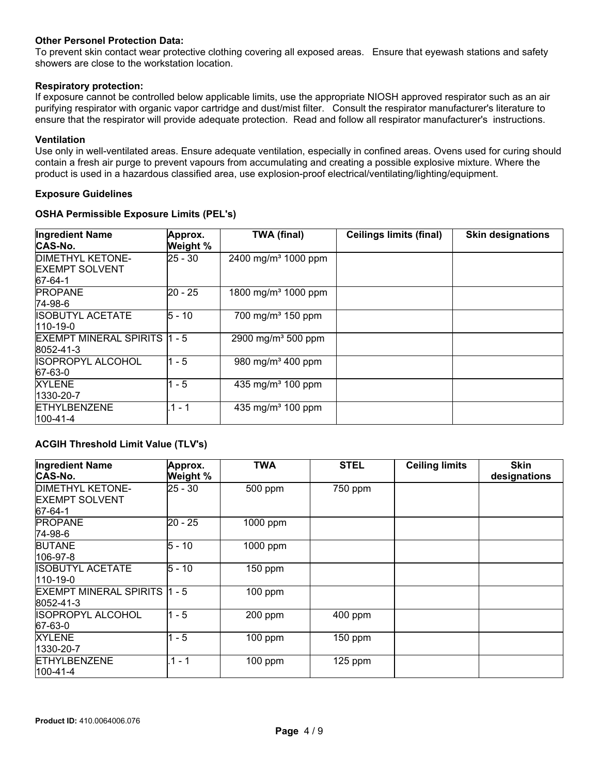#### **Other Personel Protection Data:**

To prevent skin contact wear protective clothing covering all exposed areas. Ensure that eyewash stations and safety showers are close to the workstation location.

#### **Respiratory protection:**

If exposure cannot be controlled below applicable limits, use the appropriate NIOSH approved respirator such as an air purifying respirator with organic vapor cartridge and dust/mist filter. Consult the respirator manufacturer's literature to ensure that the respirator will provide adequate protection. Read and follow all respirator manufacturer's instructions.

#### **Ventilation**

Use only in well-ventilated areas. Ensure adequate ventilation, especially in confined areas. Ovens used for curing should contain a fresh air purge to prevent vapours from accumulating and creating a possible explosive mixture. Where the product is used in a hazardous classified area, use explosion-proof electrical/ventilating/lighting/equipment.

#### **Exposure Guidelines**

#### **OSHA Permissible Exposure Limits (PEL's)**

| <b>Ingredient Name</b><br>CAS-No.                    | Approx.<br>Weight % | <b>TWA (final)</b>              | <b>Ceilings limits (final)</b> | <b>Skin designations</b> |
|------------------------------------------------------|---------------------|---------------------------------|--------------------------------|--------------------------|
| DIMETHYL KETONE-<br><b>EXEMPT SOLVENT</b><br>67-64-1 | $25 - 30$           | 2400 mg/m <sup>3</sup> 1000 ppm |                                |                          |
| <b>PROPANE</b><br>74-98-6                            | 20 - 25             | 1800 mg/m <sup>3</sup> 1000 ppm |                                |                          |
| ISOBUTYL ACETATE<br>110-19-0                         | $5 - 10$            | 700 mg/m <sup>3</sup> 150 ppm   |                                |                          |
| EXEMPT MINERAL SPIRITS 1 - 5<br>8052-41-3            |                     | 2900 mg/m <sup>3</sup> 500 ppm  |                                |                          |
| <b>ISOPROPYL ALCOHOL</b><br>67-63-0                  | $1 - 5$             | 980 mg/m <sup>3</sup> 400 ppm   |                                |                          |
| <b>XYLENE</b><br>1330-20-7                           | $1 - 5$             | 435 mg/m <sup>3</sup> 100 ppm   |                                |                          |
| <b>ETHYLBENZENE</b><br>100-41-4                      | $1 - 1$             | 435 mg/m <sup>3</sup> 100 ppm   |                                |                          |

#### **ACGIH Threshold Limit Value (TLV's)**

| <b>Ingredient Name</b><br>CAS-No.                    | Approx.<br>Weight % | <b>TWA</b> | <b>STEL</b> | <b>Ceiling limits</b> | Skin<br>designations |
|------------------------------------------------------|---------------------|------------|-------------|-----------------------|----------------------|
| DIMETHYL KETONE-<br><b>EXEMPT SOLVENT</b><br>67-64-1 | 25 - 30             | 500 ppm    | 750 ppm     |                       |                      |
| <b>PROPANE</b><br>74-98-6                            | $20 - 25$           | 1000 ppm   |             |                       |                      |
| <b>BUTANE</b><br>106-97-8                            | $5 - 10$            | 1000 ppm   |             |                       |                      |
| ISOBUTYL ACETATE<br>110-19-0                         | $5 - 10$            | $150$ ppm  |             |                       |                      |
| EXEMPT MINERAL SPIRITS 1 - 5<br>8052-41-3            |                     | $100$ ppm  |             |                       |                      |
| ISOPROPYL ALCOHOL<br>67-63-0                         | $1 - 5$             | 200 ppm    | 400 ppm     |                       |                      |
| XYLENE<br>1330-20-7                                  | $1 - 5$             | $100$ ppm  | $150$ ppm   |                       |                      |
| <b>ETHYLBENZENE</b><br>100-41-4                      | $.1 - 1$            | $100$ ppm  | $125$ ppm   |                       |                      |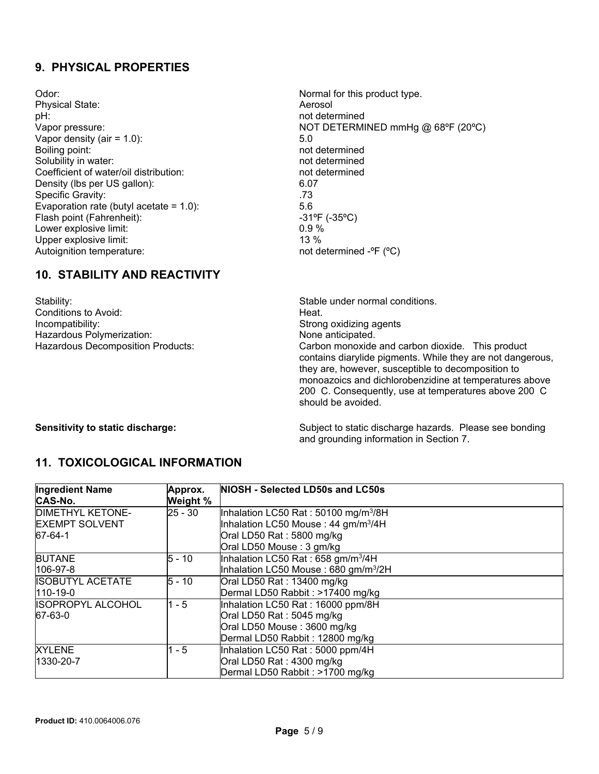## **9. PHYSICAL PROPERTIES**

Odor:  $\blacksquare$  Normal for this product type. Physical State: Aerosol pH: not determined Vapor density (air  $= 1.0$ ):  $5.0$ Boiling point: not determined Solubility in water: not determined Coefficient of water/oil distribution: not determined Density (lbs per US gallon): 6.07<br>Specific Gravity: 5.073 Specific Gravity: Evaporation rate (butyl acetate = 1.0):  $5.6$ <br>Flash point (Fahrenheit):  $-31^{\circ}F(35^{\circ}C)$ Flash point (Fahrenheit): Lower explosive limit:  $0.9 \%$ Upper explosive limit: 13 % Autoignition temperature:  $\blacksquare$  not determined  $\blacksquare$   $\blacksquare$  ( $\blacksquare$ C)

Vapor pressure:  $NOT DETERMINED mmHg @ 68°F (20°C)$ 

## **10. STABILITY AND REACTIVITY**

Stability: Stability: Stable under normal conditions. Conditions to Avoid: Heat. Hazardous Polymerization: None anticipated.

Strong oxidizing agents Hazardous Decomposition Products: Carbon monoxide and carbon dioxide. This product contains diarylide pigments. While they are not dangerous, they are, however, susceptible to decomposition to monoazoics and dichlorobenzidine at temperatures above 200 C. Consequently, use at temperatures above 200 C should be avoided.

**Sensitivity to static discharge:** Subject to static discharge hazards. Please see bonding and grounding information in Section 7.

## **11. TOXICOLOGICAL INFORMATION**

| <b>Ingredient Name</b>   | Approx.   | NIOSH - Selected LD50s and LC50s                 |
|--------------------------|-----------|--------------------------------------------------|
| CAS-No.                  | Weight %  |                                                  |
| <b>DIMETHYL KETONE-</b>  | $25 - 30$ | Inhalation LC50 Rat: 50100 mg/m <sup>3</sup> /8H |
| <b>EXEMPT SOLVENT</b>    |           | Inhalation LC50 Mouse: 44 gm/m <sup>3</sup> /4H  |
| 67-64-1                  |           | Oral LD50 Rat: 5800 mg/kg                        |
|                          |           | Oral LD50 Mouse: 3 gm/kg                         |
| <b>BUTANE</b>            | $5 - 10$  | Inhalation LC50 Rat: 658 gm/m <sup>3</sup> /4H   |
| 106-97-8                 |           | Inhalation LC50 Mouse: 680 gm/m <sup>3</sup> /2H |
| <b>ISOBUTYL ACETATE</b>  | $5 - 10$  | Oral LD50 Rat: 13400 mg/kg                       |
| $110-19-0$               |           | Dermal LD50 Rabbit: >17400 mg/kg                 |
| <b>ISOPROPYL ALCOHOL</b> | $1 - 5$   | Inhalation LC50 Rat: 16000 ppm/8H                |
| 67-63-0                  |           | Oral LD50 Rat: 5045 mg/kg                        |
|                          |           | Oral LD50 Mouse: 3600 mg/kg                      |
|                          |           | Dermal LD50 Rabbit: 12800 mg/kg                  |
| <b>XYLENE</b>            | $1 - 5$   | Inhalation LC50 Rat: 5000 ppm/4H                 |
| 1330-20-7                |           | Oral LD50 Rat: 4300 mg/kg                        |
|                          |           | Dermal LD50 Rabbit: >1700 mg/kg                  |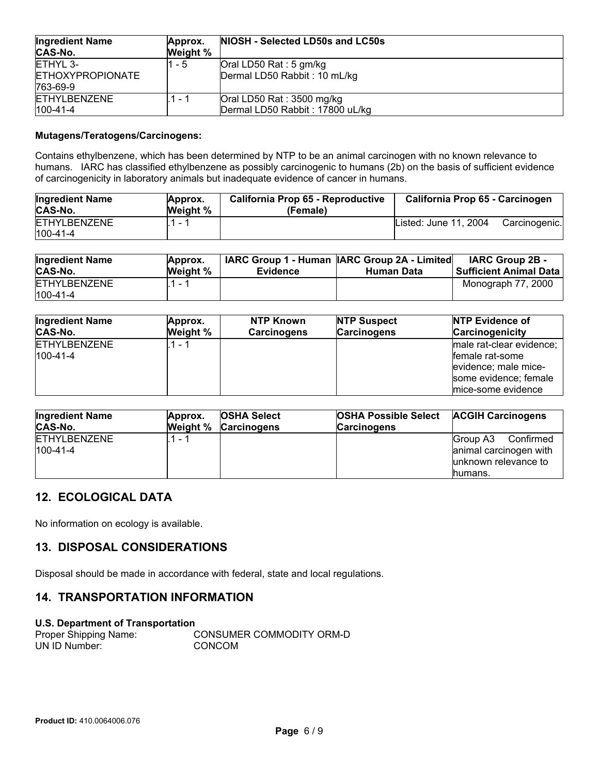| <b>Ingredient Name</b><br><b>CAS-No.</b>        | Approx.<br>Weight % | NIOSH - Selected LD50s and LC50s                             |
|-------------------------------------------------|---------------------|--------------------------------------------------------------|
| ETHYL 3-<br><b>ETHOXYPROPIONATE</b><br>763-69-9 | 1 - 5               | Oral LD50 Rat: 5 gm/kg<br>Dermal LD50 Rabbit: 10 mL/kg       |
| <b>ETHYLBENZENE</b><br>$100 - 41 - 4$           | 1 - 1               | Oral LD50 Rat: 3500 mg/kg<br>Dermal LD50 Rabbit: 17800 uL/kg |

#### **Mutagens/Teratogens/Carcinogens:**

Contains ethylbenzene, which has been determined by NTP to be an animal carcinogen with no known relevance to humans. IARC has classified ethylbenzene as possibly carcinogenic to humans (2b) on the basis of sufficient evidence of carcinogenicity in laboratory animals but inadequate evidence of cancer in humans.

| <b>Ingredient Name</b><br>CAS-No.     | Approx.<br><b>Weight %</b> | California Prop 65 - Reproductive<br>(Female) | California Prop 65 - Carcinogen |               |
|---------------------------------------|----------------------------|-----------------------------------------------|---------------------------------|---------------|
| <b>ETHYLBENZENE</b><br>$100 - 41 - 4$ | $\sim$                     |                                               | Listed: June 11, 2004           | Carcinogenic. |

| <b>Ingredient Name</b> | Approx.         |                 | IARC Group 1 - Human IARC Group 2A - Limited | <b>IARC Group 2B -</b>        |
|------------------------|-----------------|-----------------|----------------------------------------------|-------------------------------|
| <b>CAS-No.</b>         | <b>Weight</b> % | <b>Evidence</b> | Human Data                                   | <b>Sufficient Animal Data</b> |
| <b>ETHYLBENZENE</b>    | 1 - 1           |                 |                                              | Monograph 77, 2000            |
| $100 - 41 - 4$         |                 |                 |                                              |                               |

| <b>Ingredient Name</b>            | Approx.  | NTP Known          | <b>NTP Suspect</b> | <b>NTP Evidence of</b>                                                                                             |
|-----------------------------------|----------|--------------------|--------------------|--------------------------------------------------------------------------------------------------------------------|
| CAS-No.                           | Weight % | <b>Carcinogens</b> | <b>Carcinogens</b> | <b>Carcinogenicity</b>                                                                                             |
| <b>ETHYLBENZENE</b><br>$100-41-4$ |          |                    |                    | male rat-clear evidence;<br>female rat-some<br>evidence; male mice-<br>some evidence; female<br>mice-some evidence |

| <b>Ingredient Name</b><br>CAS-No.     | Approx.<br>Weight % | <b>OSHA Select</b><br><b>Carcinogens</b> | <b>OSHA Possible Select ACGIH Carcinogens</b><br><b>Carcinogens</b> |                       |
|---------------------------------------|---------------------|------------------------------------------|---------------------------------------------------------------------|-----------------------|
| <b>ETHYLBENZENE</b><br>$100 - 41 - 4$ | 1 - 1               |                                          | Confirmed<br>Group A3<br>animal carcinogen with                     |                       |
|                                       |                     |                                          |                                                                     | lunknown relevance to |
|                                       |                     |                                          |                                                                     | humans.               |

## **12. ECOLOGICAL DATA**

No information on ecology is available.

## **13. DISPOSAL CONSIDERATIONS**

Disposal should be made in accordance with federal, state and local regulations.

## **14. TRANSPORTATION INFORMATION**

#### **U.S. Department of Transportation**

| Proper Shipping Name: | CONSUMER COMMODITY ORM-D |
|-----------------------|--------------------------|
| UN ID Number:         | CONCOM                   |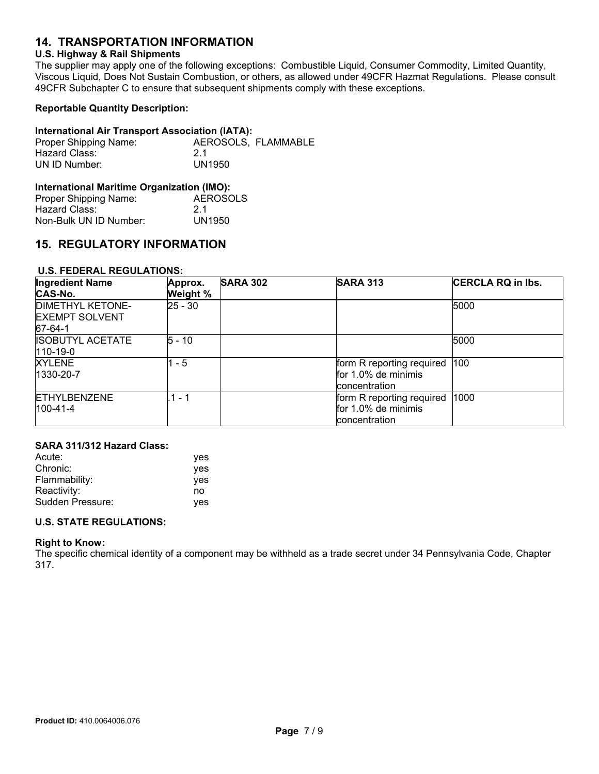## **14. TRANSPORTATION INFORMATION**

#### **U.S. Highway & Rail Shipments**

The supplier may apply one of the following exceptions: Combustible Liquid, Consumer Commodity, Limited Quantity, Viscous Liquid, Does Not Sustain Combustion, or others, as allowed under 49CFR Hazmat Regulations. Please consult 49CFR Subchapter C to ensure that subsequent shipments comply with these exceptions.

#### **Reportable Quantity Description:**

#### **International Air Transport Association (IATA):**

| Proper Shipping Name: | AEROSOLS. FLAMMABLE |
|-----------------------|---------------------|
| Hazard Class:         | -21                 |
| UN ID Number:         | UN1950              |

#### **International Maritime Organization (IMO):**

| Proper Shipping Name:  | AEROSOLS |
|------------------------|----------|
| Hazard Class:          | -21      |
| Non-Bulk UN ID Number: | UN1950   |

## **15. REGULATORY INFORMATION**

#### **U.S. FEDERAL REGULATIONS:**

| <b>Ingredient Name</b><br>CAS-No.                           | Approx.<br>Weight % | <b>SARA 302</b> | <b>SARA 313</b>                                                   | <b>CERCLA RQ in lbs.</b> |
|-------------------------------------------------------------|---------------------|-----------------|-------------------------------------------------------------------|--------------------------|
| <b>DIMETHYL KETONE-</b><br><b>EXEMPT SOLVENT</b><br>67-64-1 | $25 - 30$           |                 |                                                                   | 5000                     |
| <b>ISOBUTYL ACETATE</b><br>$110-19-0$                       | $5 - 10$            |                 |                                                                   | 5000                     |
| <b>XYLENE</b><br>1330-20-7                                  | $1 - 5$             |                 | form R reporting required<br>for 1.0% de minimis<br>concentration | 100                      |
| <b>ETHYLBENZENE</b><br>$100 - 41 - 4$                       | $1 - 1$             |                 | form R reporting required<br>for 1.0% de minimis<br>concentration | 1000                     |

#### **SARA 311/312 Hazard Class:**

| Acute:           | yes        |
|------------------|------------|
| Chronic:         | ves        |
| Flammability:    | yes        |
| Reactivity:      | no         |
| Sudden Pressure: | <b>ves</b> |

#### **U.S. STATE REGULATIONS:**

#### **Right to Know:**

The specific chemical identity of a component may be withheld as a trade secret under 34 Pennsylvania Code, Chapter 317.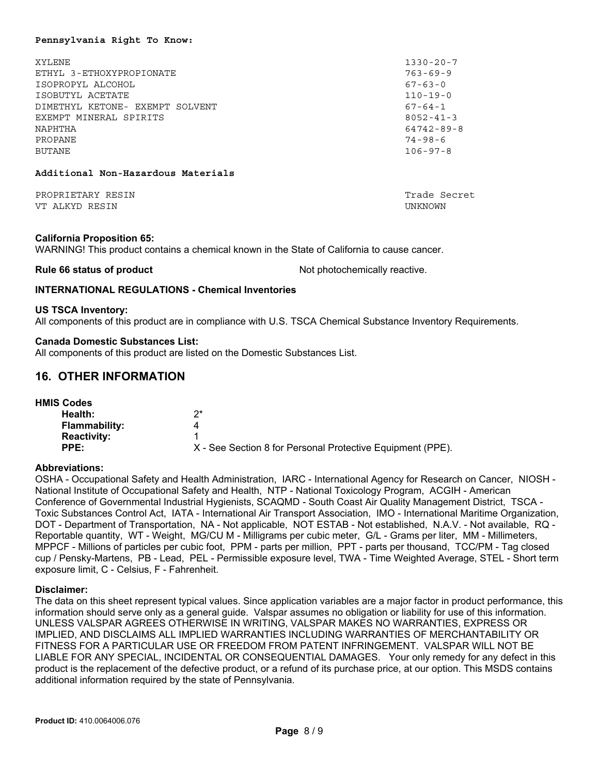#### **Pennsylvania Right To Know:**

| XYLENE.                         | $1330 - 20 - 7$  |
|---------------------------------|------------------|
| ETHYL 3-ETHOXYPROPIONATE        | $763 - 69 - 9$   |
| ISOPROPYL ALCOHOL               | $67 - 63 - 0$    |
| ISOBUTYL ACETATE                | $110 - 19 - 0$   |
| DIMETHYL KETONE- EXEMPT SOLVENT | $67 - 64 - 1$    |
| EXEMPT MINERAL SPIRITS          | $8052 - 41 - 3$  |
| NAPHTHA                         | $64742 - 89 - 8$ |
| PROPANE                         | $74 - 98 - 6$    |
| BUTANE                          | $106 - 97 - 8$   |
|                                 |                  |
|                                 |                  |

#### **Additional Non-Hazardous Materials**

PROPRIETARY RESIN TRADE SECRET AND TRADE SECRET AND TRADE SECRET AND TRADE SECRET AND TRADE SECRET AND TRADE SECRET AND TRADE SECRET AND TRADE SECRET AND TRADE SECRET AND TRADE SECRET AND TRADE SECRET AND TRADE SECRET AND VT ALKYD RESIN UNKNOWN

#### **California Proposition 65:**

WARNING! This product contains a chemical known in the State of California to cause cancer.

**Rule 66 status of product** Not photochemically reactive.

## **INTERNATIONAL REGULATIONS - Chemical Inventories**

#### **US TSCA Inventory:**

All components of this product are in compliance with U.S. TSCA Chemical Substance Inventory Requirements.

#### **Canada Domestic Substances List:**

All components of this product are listed on the Domestic Substances List.

## **16. OTHER INFORMATION**

| <b>HMIS Codes</b>    |                                                            |
|----------------------|------------------------------------------------------------|
| Health:              | ク*                                                         |
| <b>Flammability:</b> | 4                                                          |
| <b>Reactivity:</b>   |                                                            |
| PPE:                 | X - See Section 8 for Personal Protective Equipment (PPE). |

## **Abbreviations:**

OSHA - Occupational Safety and Health Administration, IARC - International Agency for Research on Cancer, NIOSH - National Institute of Occupational Safety and Health, NTP - National Toxicology Program, ACGIH - American Conference of Governmental Industrial Hygienists, SCAQMD - South Coast Air Quality Management District, TSCA - Toxic Substances Control Act, IATA - International Air Transport Association, IMO - International Maritime Organization, DOT - Department of Transportation, NA - Not applicable, NOT ESTAB - Not established, N.A.V. - Not available, RQ - Reportable quantity, WT - Weight, MG/CU M - Milligrams per cubic meter, G/L - Grams per liter, MM - Millimeters, MPPCF - Millions of particles per cubic foot, PPM - parts per million, PPT - parts per thousand, TCC/PM - Tag closed cup / Pensky-Martens, PB - Lead, PEL - Permissible exposure level, TWA - Time Weighted Average, STEL - Short term exposure limit, C - Celsius, F - Fahrenheit.

#### **Disclaimer:**

The data on this sheet represent typical values. Since application variables are a major factor in product performance, this information should serve only as a general guide. Valspar assumes no obligation or liability for use of this information. UNLESS VALSPAR AGREES OTHERWISE IN WRITING, VALSPAR MAKES NO WARRANTIES, EXPRESS OR IMPLIED, AND DISCLAIMS ALL IMPLIED WARRANTIES INCLUDING WARRANTIES OF MERCHANTABILITY OR FITNESS FOR A PARTICULAR USE OR FREEDOM FROM PATENT INFRINGEMENT. VALSPAR WILL NOT BE LIABLE FOR ANY SPECIAL, INCIDENTAL OR CONSEQUENTIAL DAMAGES. Your only remedy for any defect in this product is the replacement of the defective product, or a refund of its purchase price, at our option. This MSDS contains additional information required by the state of Pennsylvania.